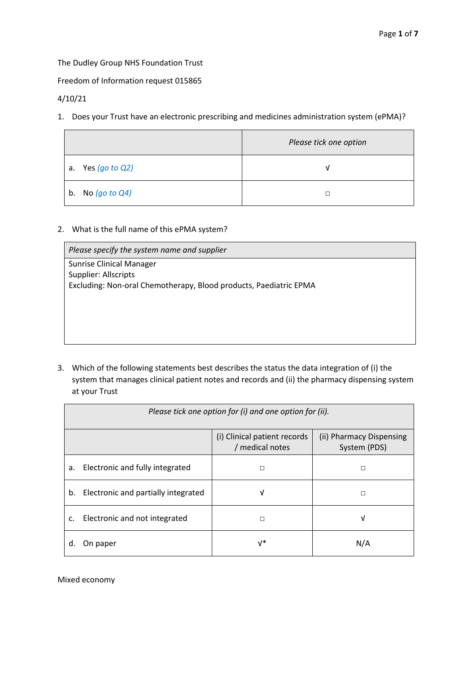The Dudley Group NHS Foundation Trust

Freedom of Information request 015865

4/10/21

1. Does your Trust have an electronic prescribing and medicines administration system (ePMA)?

|                                  | Please tick one option |
|----------------------------------|------------------------|
| a. Yes $(g \circ \text{to } Q2)$ | ν                      |
| b. No $(g \circ \text{to } Q4)$  |                        |

2. What is the full name of this ePMA system?

| Please specify the system name and supplier                       |
|-------------------------------------------------------------------|
| <b>Sunrise Clinical Manager</b>                                   |
| Supplier: Allscripts                                              |
| Excluding: Non-oral Chemotherapy, Blood products, Paediatric EPMA |
|                                                                   |
|                                                                   |
|                                                                   |
|                                                                   |
|                                                                   |

3. Which of the following statements best describes the status the data integration of (i) the system that manages clinical patient notes and records and (ii) the pharmacy dispensing system at your Trust

| Please tick one option for (i) and one option for (ii).         |                                     |                          |     |
|-----------------------------------------------------------------|-------------------------------------|--------------------------|-----|
| (i) Clinical patient records<br>/ medical notes<br>System (PDS) |                                     | (ii) Pharmacy Dispensing |     |
| а.                                                              | Electronic and fully integrated     | П                        | п   |
| b.                                                              | Electronic and partially integrated | ν                        | П   |
| c.                                                              | Electronic and not integrated       |                          | ν   |
| a.                                                              | On paper                            | $V^*$                    | N/A |

Mixed economy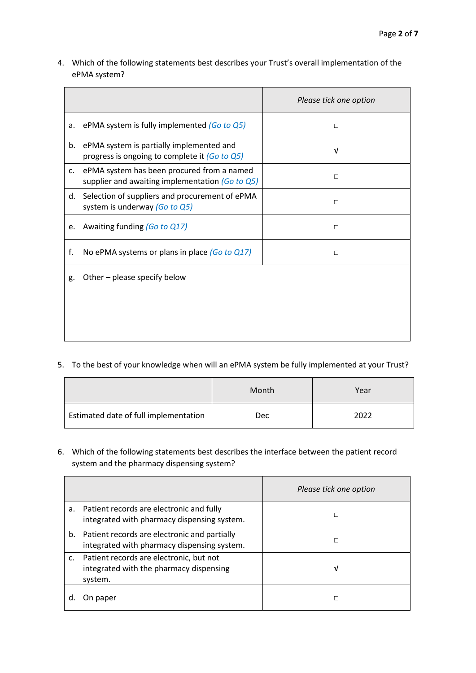4. Which of the following statements best describes your Trust's overall implementation of the ePMA system?

|                |                                                                                               | Please tick one option |
|----------------|-----------------------------------------------------------------------------------------------|------------------------|
| a.             | ePMA system is fully implemented $(Go \ to \ Q5)$                                             | П                      |
| b.             | ePMA system is partially implemented and<br>progress is ongoing to complete it (Go to Q5)     | V                      |
| $\mathsf{C}$ . | ePMA system has been procured from a named<br>supplier and awaiting implementation (Go to Q5) | $\Box$                 |
| d.             | Selection of suppliers and procurement of ePMA<br>system is underway (Go to Q5)               | П                      |
| e.             | Awaiting funding (Go to Q17)                                                                  | $\Box$                 |
| f.             | No ePMA systems or plans in place $(Got 0 17)$                                                | $\Box$                 |
| g.             | Other – please specify below                                                                  |                        |
|                |                                                                                               |                        |
|                |                                                                                               |                        |

5. To the best of your knowledge when will an ePMA system be fully implemented at your Trust?

|                                       | Month | Year |
|---------------------------------------|-------|------|
| Estimated date of full implementation | Dec   | 2022 |

6. Which of the following statements best describes the interface between the patient record system and the pharmacy dispensing system?

|                |                                                                                               | Please tick one option |
|----------------|-----------------------------------------------------------------------------------------------|------------------------|
| а.             | Patient records are electronic and fully<br>integrated with pharmacy dispensing system.       | П                      |
| b.             | Patient records are electronic and partially<br>integrated with pharmacy dispensing system.   | П                      |
| $\mathsf{C}$ . | Patient records are electronic, but not<br>integrated with the pharmacy dispensing<br>system. | ν                      |
|                | On paper                                                                                      |                        |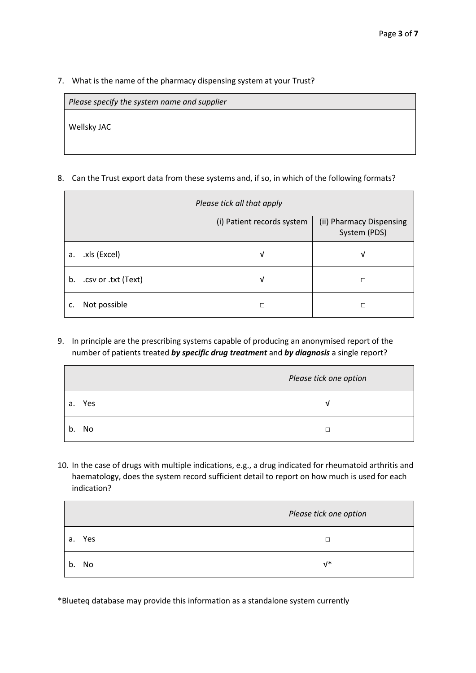7. What is the name of the pharmacy dispensing system at your Trust?

|             | Please specify the system name and supplier |
|-------------|---------------------------------------------|
| Wellsky JAC |                                             |
|             |                                             |

8. Can the Trust export data from these systems and, if so, in which of the following formats?

| Please tick all that apply |   |                                          |
|----------------------------|---|------------------------------------------|
| (i) Patient records system |   | (ii) Pharmacy Dispensing<br>System (PDS) |
| .xls (Excel)<br>a.         | ٧ | ν                                        |
| .csv or .txt (Text)<br>b.  | ν | П                                        |
| Not possible<br>c.         | п | П                                        |

9. In principle are the prescribing systems capable of producing an anonymised report of the number of patients treated *by specific drug treatment* and *by diagnosis* a single report?

|           | Please tick one option |
|-----------|------------------------|
| Yes<br>а. |                        |
| b. No     |                        |

10. In the case of drugs with multiple indications, e.g., a drug indicated for rheumatoid arthritis and haematology, does the system record sufficient detail to report on how much is used for each indication?

|        | Please tick one option |
|--------|------------------------|
| a. Yes |                        |
| b. No  | $V^*$                  |

\*Blueteq database may provide this information as a standalone system currently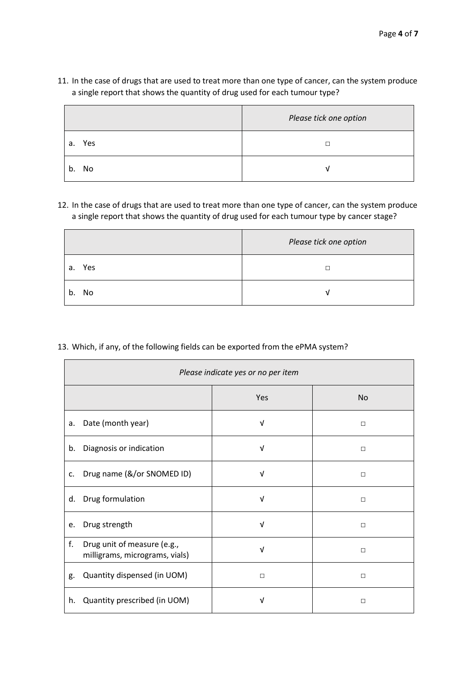# 11. In the case of drugs that are used to treat more than one type of cancer, can the system produce a single report that shows the quantity of drug used for each tumour type?

|          | Please tick one option |
|----------|------------------------|
| a. Yes   |                        |
| b.<br>No |                        |

12. In the case of drugs that are used to treat more than one type of cancer, can the system produce a single report that shows the quantity of drug used for each tumour type by cancer stage?

|           | Please tick one option |
|-----------|------------------------|
| Yes<br>a. |                        |
| No<br>b.  |                        |

13. Which, if any, of the following fields can be exported from the ePMA system?

|    | Please indicate yes or no per item                            |            |           |
|----|---------------------------------------------------------------|------------|-----------|
|    |                                                               | Yes        | <b>No</b> |
| a. | Date (month year)                                             | $\sqrt{ }$ | $\Box$    |
| b. | Diagnosis or indication                                       | V          | $\Box$    |
| c. | Drug name (&/or SNOMED ID)                                    | V          | $\Box$    |
| d. | Drug formulation                                              | $\sqrt{ }$ | $\Box$    |
| e. | Drug strength                                                 | $\sqrt{ }$ | $\Box$    |
| f. | Drug unit of measure (e.g.,<br>milligrams, micrograms, vials) | V          | $\Box$    |
| g. | Quantity dispensed (in UOM)                                   | $\Box$     | $\Box$    |
| h. | Quantity prescribed (in UOM)                                  | ν          | $\Box$    |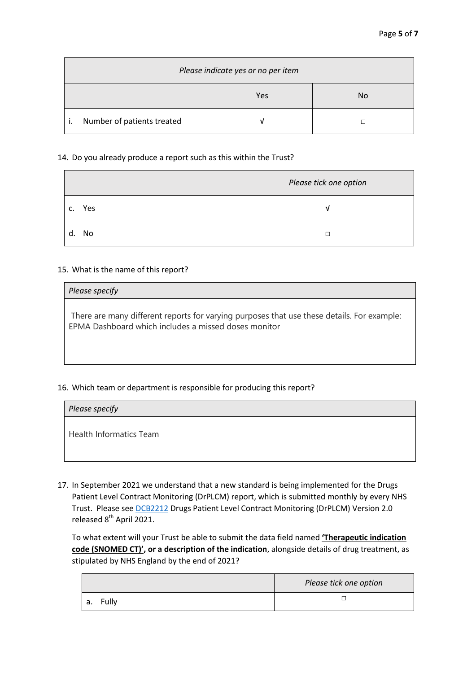| Please indicate yes or no per item |     |    |
|------------------------------------|-----|----|
|                                    | Yes | No |
| Number of patients treated         |     |    |

### 14. Do you already produce a report such as this within the Trust?

|           | Please tick one option |
|-----------|------------------------|
| Yes<br>c. | V                      |
| d. No     |                        |

### 15. What is the name of this report?

#### *Please specify*

There are many different reports for varying purposes that use these details. For example: EPMA Dashboard which includes a missed doses monitor

## 16. Which team or department is responsible for producing this report?

| Please specify          |
|-------------------------|
| Health Informatics Team |

17. In September 2021 we understand that a new standard is being implemented for the Drugs Patient Level Contract Monitoring (DrPLCM) report, which is submitted monthly by every NHS Trust. Please se[e DCB2212](https://digital.nhs.uk/data-and-information/information-standards/information-standards-and-data-collections-including-extractions/publications-and-notifications/standards-and-collections/contract-monitoring#current-releases) Drugs Patient Level Contract Monitoring (DrPLCM) Version 2.0 released 8<sup>th</sup> April 2021.

To what extent will your Trust be able to submit the data field named **'Therapeutic indication code (SNOMED CT)', or a description of the indication**, alongside details of drug treatment, as stipulated by NHS England by the end of 2021?

|               | Please tick one option |
|---------------|------------------------|
| Fully<br>- а. |                        |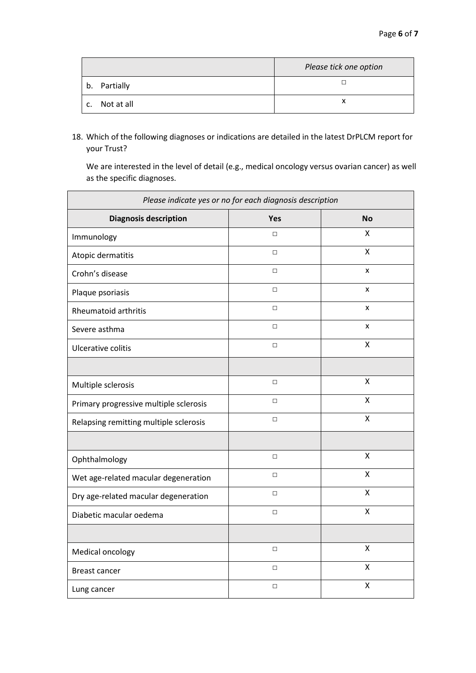|    |            | Please tick one option |
|----|------------|------------------------|
| b. | Partially  |                        |
| C. | Not at all |                        |

18. Which of the following diagnoses or indications are detailed in the latest DrPLCM report for your Trust?

We are interested in the level of detail (e.g., medical oncology versus ovarian cancer) as well as the specific diagnoses.

| Please indicate yes or no for each diagnosis description |        |                         |
|----------------------------------------------------------|--------|-------------------------|
| <b>Diagnosis description</b>                             | Yes    | <b>No</b>               |
| Immunology                                               | $\Box$ | X                       |
| Atopic dermatitis                                        | $\Box$ | Χ                       |
| Crohn's disease                                          | $\Box$ | X                       |
| Plaque psoriasis                                         | $\Box$ | X                       |
| <b>Rheumatoid arthritis</b>                              | $\Box$ | X                       |
| Severe asthma                                            | $\Box$ | X                       |
| Ulcerative colitis                                       | $\Box$ | $\pmb{\mathsf{X}}$      |
|                                                          |        |                         |
| Multiple sclerosis                                       | $\Box$ | X                       |
| Primary progressive multiple sclerosis                   | $\Box$ | Χ                       |
| Relapsing remitting multiple sclerosis                   | $\Box$ | $\overline{\mathsf{X}}$ |
|                                                          |        |                         |
| Ophthalmology                                            | $\Box$ | X                       |
| Wet age-related macular degeneration                     | $\Box$ | X                       |
| Dry age-related macular degeneration                     | $\Box$ | Χ                       |
| Diabetic macular oedema                                  | $\Box$ | $\mathsf{x}$            |
|                                                          |        |                         |
| Medical oncology                                         | $\Box$ | $\pmb{\mathsf{X}}$      |
| <b>Breast cancer</b>                                     | $\Box$ | x                       |
| Lung cancer                                              | $\Box$ | X                       |